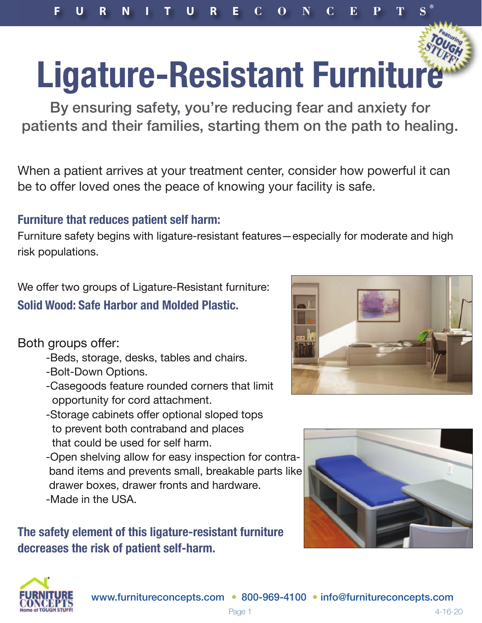®

## **Ligature-Resistant Furniture**

**By ensuring safety, you're reducing fear and anxiety for patients and their families, starting them on the path to healing.**

When a patient arrives at your treatment center, consider how powerful it can be to offer loved ones the peace of knowing your facility is safe.

## **Furniture that reduces patient self harm:**

Furniture safety begins with ligature-resistant features—especially for moderate and high risk populations.

We offer two groups of Ligature-Resistant furniture: **Solid Wood: [Safe Harbor](https://www.furnitureconcepts.com/products/tough-stuff-furniture/tough-stuff-safe-harbor-bedroom-desks--storage/) and [Molded Plastic.](https://www.furnitureconcepts.com/products/anti-ligature-furniture/molded-plastic-anti-contraband-furniture/)** 

Both groups offer:

- -Beds, storage, desks, tables and chairs.
- -Bolt-Down Options.
- -Casegoods feature rounded corners that limit opportunity for cord attachment.
- -Storage cabinets offer optional sloped tops to prevent both contraband and places that could be used for self harm.
- -Open shelving allow for easy inspection for contra band items and prevents small, breakable parts lik[e](https://www.furnitureconcepts.com/products/anti-ligature-furniture/molded-plastic-anti-contraband-furniture/)  drawer boxes, drawer fronts and hardware. -Made in the USA.

**The safety element of this ligature-resistant furniture decreases the risk of patient self-harm.**